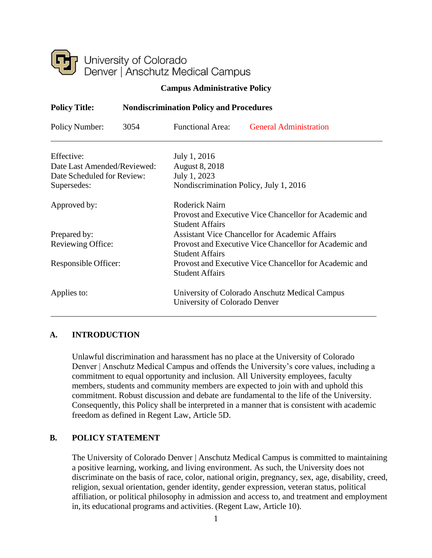

## **Campus Administrative Policy**

| <b>Policy Title:</b>        | <b>Nondiscrimination Policy and Procedures</b> |                                                        |                                                        |
|-----------------------------|------------------------------------------------|--------------------------------------------------------|--------------------------------------------------------|
| Policy Number:              | 3054                                           | <b>Functional Area:</b>                                | <b>General Administration</b>                          |
| Effective:                  |                                                | July 1, 2016                                           |                                                        |
| Date Last Amended/Reviewed: |                                                | <b>August 8, 2018</b>                                  |                                                        |
| Date Scheduled for Review:  |                                                | July 1, 2023                                           |                                                        |
| Supersedes:                 |                                                | Nondiscrimination Policy, July 1, 2016                 |                                                        |
| Approved by:                |                                                | <b>Roderick Nairn</b>                                  |                                                        |
|                             |                                                | <b>Student Affairs</b>                                 | Provost and Executive Vice Chancellor for Academic and |
| Prepared by:                |                                                | <b>Assistant Vice Chancellor for Academic Affairs</b>  |                                                        |
| Reviewing Office:           |                                                | Provost and Executive Vice Chancellor for Academic and |                                                        |
|                             |                                                | <b>Student Affairs</b>                                 |                                                        |
| Responsible Officer:        |                                                | Provost and Executive Vice Chancellor for Academic and |                                                        |
|                             |                                                | <b>Student Affairs</b>                                 |                                                        |
| Applies to:                 |                                                | University of Colorado Anschutz Medical Campus         |                                                        |
|                             |                                                | University of Colorado Denver                          |                                                        |

## **A. INTRODUCTION**

Unlawful discrimination and harassment has no place at the University of Colorado Denver | Anschutz Medical Campus and offends the University's core values, including a commitment to equal opportunity and inclusion. All University employees, faculty members, students and community members are expected to join with and uphold this commitment. Robust discussion and debate are fundamental to the life of the University. Consequently, this Policy shall be interpreted in a manner that is consistent with academic freedom as defined in Regent Law, Article 5D.

## **B. POLICY STATEMENT**

The University of Colorado Denver | Anschutz Medical Campus is committed to maintaining a positive learning, working, and living environment. As such, the University does not discriminate on the basis of race, color, national origin, pregnancy, sex, age, disability, creed, religion, sexual orientation, gender identity, gender expression, veteran status, political affiliation, or political philosophy in admission and access to, and treatment and employment in, its educational programs and activities. (Regent Law, Article 10).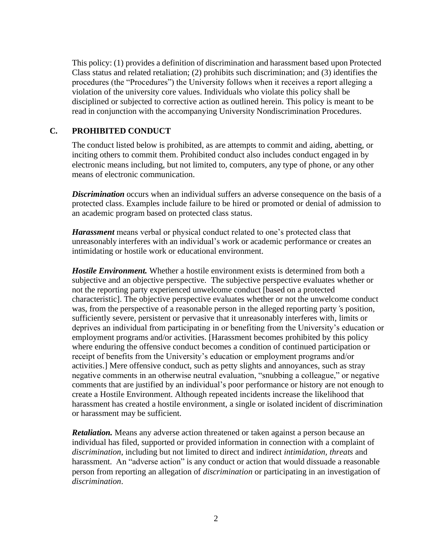This policy: (1) provides a definition of discrimination and harassment based upon Protected Class status and related retaliation; (2) prohibits such discrimination; and (3) identifies the procedures (the "Procedures") the University follows when it receives a report alleging a violation of the university core values. Individuals who violate this policy shall be disciplined or subjected to corrective action as outlined herein. This policy is meant to be read in conjunction with the accompanying University Nondiscrimination Procedures.

## **C. PROHIBITED CONDUCT**

The conduct listed below is prohibited, as are attempts to commit and aiding, abetting, or inciting others to commit them. Prohibited conduct also includes conduct engaged in by electronic means including, but not limited to, computers, any type of phone, or any other means of electronic communication.

*Discrimination* occurs when an individual suffers an adverse consequence on the basis of a protected class. Examples include failure to be hired or promoted or denial of admission to an academic program based on protected class status.

*Harassment* means verbal or physical conduct related to one's protected class that unreasonably interferes with an individual's work or academic performance or creates an intimidating or hostile work or educational environment.

*Hostile Environment.* Whether a hostile environment exists is determined from both a subjective and an objective perspective. The subjective perspective evaluates whether or not the reporting party experienced unwelcome conduct [based on a protected characteristic]. The objective perspective evaluates whether or not the unwelcome conduct was, from the perspective of a reasonable person in the alleged reporting party*'*s position, sufficiently severe, persistent or pervasive that it unreasonably interferes with, limits or deprives an individual from participating in or benefiting from the University's education or employment programs and/or activities. [Harassment becomes prohibited by this policy where enduring the offensive conduct becomes a condition of continued participation or receipt of benefits from the University's education or employment programs and/or activities.] Mere offensive conduct, such as petty slights and annoyances, such as stray negative comments in an otherwise neutral evaluation, "snubbing a colleague," or negative comments that are justified by an individual's poor performance or history are not enough to create a Hostile Environment. Although repeated incidents increase the likelihood that harassment has created a hostile environment, a single or isolated incident of discrimination or harassment may be sufficient.

*Retaliation.* Means any adverse action threatened or taken against a person because an individual has filed, supported or provided information in connection with a complaint of *discrimination*, including but not limited to direct and indirect *intimidation, threats* and harassment. An "adverse action" is any conduct or action that would dissuade a reasonable person from reporting an allegation of *discrimination* or participating in an investigation of *discrimination*.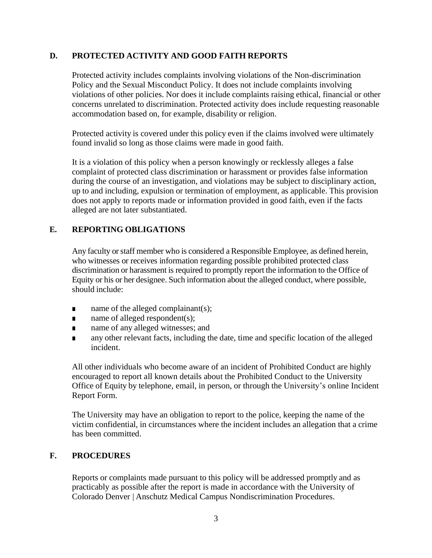## **D. PROTECTED ACTIVITY AND GOOD FAITH REPORTS**

Protected activity includes complaints involving violations of the Non-discrimination Policy and the Sexual Misconduct Policy. It does not include complaints involving violations of other policies. Nor does it include complaints raising ethical, financial or other concerns unrelated to discrimination. Protected activity does include requesting reasonable accommodation based on, for example, disability or religion.

Protected activity is covered under this policy even if the claims involved were ultimately found invalid so long as those claims were made in good faith.

It is a violation of this policy when a person knowingly or recklessly alleges a false complaint of protected class discrimination or harassment or provides false information during the course of an investigation, and violations may be subject to disciplinary action, up to and including, expulsion or termination of employment, as applicable. This provision does not apply to reports made or information provided in good faith, even if the facts alleged are not later substantiated.

## **E. REPORTING OBLIGATIONS**

Any faculty or staff member who is considered a Responsible Employee, as defined herein, who witnesses or receives information regarding possible prohibited protected class discrimination or harassment is required to promptly report the information to the Office of Equity or his or her designee. Such information about the alleged conduct, where possible, should include:

- name of the alleged complainant(s);
- $\blacksquare$  name of alleged respondent(s);
- name of any alleged witnesses; and
- any other relevant facts, including the date, time and specific location of the alleged incident.

All other individuals who become aware of an incident of Prohibited Conduct are highly encouraged to report all known details about the Prohibited Conduct to the University Office of Equity by telephone, email, in person, or through the University's online Incident Report Form.

The University may have an obligation to report to the police, keeping the name of the victim confidential, in circumstances where the incident includes an allegation that a crime has been committed.

## **F. PROCEDURES**

Reports or complaints made pursuant to this policy will be addressed promptly and as practicably as possible after the report is made in accordance with the University of Colorado Denver | Anschutz Medical Campus Nondiscrimination Procedures.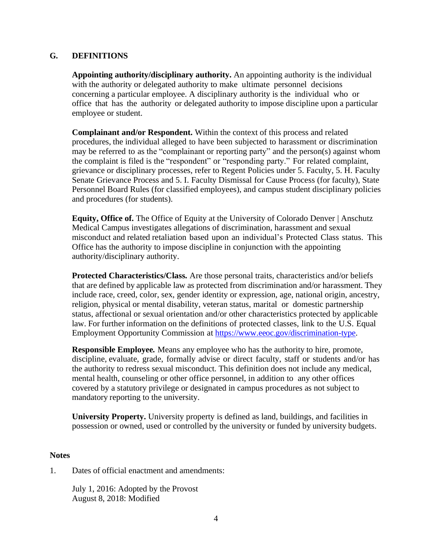## **G. DEFINITIONS**

**Appointing authority/disciplinary authority.** An appointing authority is the individual with the authority or delegated authority to make ultimate personnel decisions concerning a particular employee. A disciplinary authority is the individual who or office that has the authority or delegated authority to impose discipline upon a particular employee or student.

**Complainant and/or Respondent.** Within the context of this process and related procedures, the individual alleged to have been subjected to harassment or discrimination may be referred to as the "complainant or reporting party" and the person(s) against whom the complaint is filed is the "respondent" or "responding party." For related complaint, grievance or disciplinary processes, refer to Regent Policies under 5. Faculty, 5. H. Faculty Senate Grievance Process and 5. I. Faculty Dismissal for Cause Process (for faculty), State Personnel Board Rules (for classified employees), and campus student disciplinary policies and procedures (for students).

**Equity, Office of.** The Office of Equity at the University of Colorado Denver | Anschutz Medical Campus investigates allegations of discrimination, harassment and sexual misconduct and related retaliation based upon an individual's Protected Class status. This Office has the authority to impose discipline in conjunction with the appointing authority/disciplinary authority.

**Protected Characteristics/Class***.* Are those personal traits, characteristics and/or beliefs that are defined by applicable law as protected from discrimination and/or harassment. They include race, creed, color, sex, gender identity or expression, age, national origin, ancestry, religion, physical or mental disability, veteran status, marital or domestic partnership status, affectional or sexual orientation and/or other characteristics protected by applicable law. For further information on the definitions of protected classes, link to the U.S. Equal Employment Opportunity Commission at <https://www.eeoc.gov/discrimination-type>[.](http://www.eeoc.gov/laws/types/)

**Responsible Employee***.* Means any employee who has the authority to hire, promote, discipline, evaluate, grade, formally advise or direct faculty, staff or students and/or has the authority to redress sexual misconduct. This definition does not include any medical, mental health, counseling or other office personnel, in addition to any other offices covered by a statutory privilege or designated in campus procedures as not subject to mandatory reporting to the university.

**University Property.** University property is defined as land, buildings, and facilities in possession or owned, used or controlled by the university or funded by university budgets.

#### **Notes**

1. Dates of official enactment and amendments:

July 1, 2016: Adopted by the Provost August 8, 2018: Modified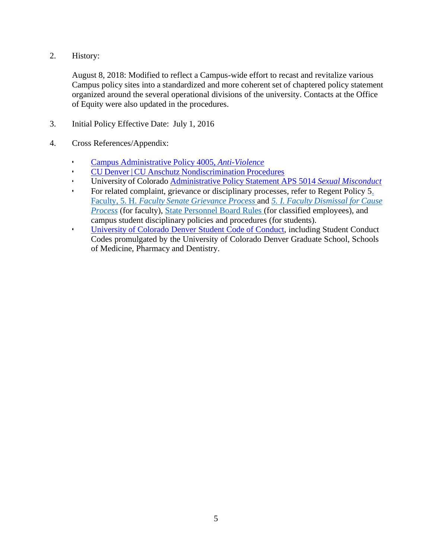2. History:

August 8, 2018: Modified to reflect a Campus-wide effort to recast and revitalize various Campus policy sites into a standardized and more coherent set of chaptered policy statement organized around the several operational divisions of the university. Contacts at the Office of Equity were also updated in the procedures.

- 3. Initial Policy Effective Date: July 1, 2016
- 4. Cross References/Appendix:
	- Campus Administrative Policy 4005, *Anti-Violence*
	- CU Denver | CU Anschutz Nondiscrimination Procedures
	- University of Colorado Administrative Policy Statement APS 5014 *Sexual Misconduct*
	- For related complaint, grievance or disciplinary processes, refer to Regent Policy 5. Faculty, 5. H. *Faculty Senate Grievance Process* and *5. I. Faculty Dismissal for Cause Process* (for faculty), State Personnel Board Rules (for classified employees), and campus student disciplinary policies and procedures (for students).
	- University of Colorado Denver Student Code of Conduct, including Student Conduct Codes promulgated by the University of Colorado Denver Graduate School, Schools of Medicine, Pharmacy and Dentistry.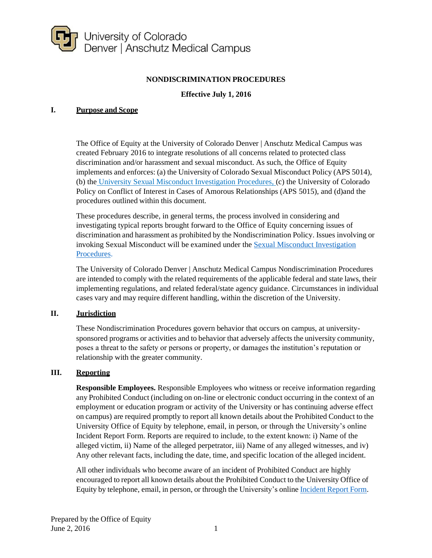

## **NONDISCRIMINATION PROCEDURES**

## **Effective July 1, 2016**

#### **I. Purpose and Scope**

The Office of Equity at the University of Colorado Denver | Anschutz Medical Campus was created February 2016 to integrate resolutions of all concerns related to protected class discrimination and/or harassment and sexual misconduct. As such, the Office of Equity implements and enforces: (a) the University of Colorado Sexual Misconduct Policy (APS 5014), (b) the University Sexual Misconduct Investigation Procedures, (c) the University of Colorado Policy on Conflict of Interest in Cases of Amorous Relationships (APS 5015), and (d)and the procedures outlined within this document.

These procedures describe, in general terms, the process involved in considering and investigating typical reports brought forward to the Office of Equity concerning issues of discrimination and harassment as prohibited by the Nondiscrimination Policy. Issues involving or invoking Sexual Misconduct will be examined under the Sexual Misconduct Investigation Procedures.

The University of Colorado Denver | Anschutz Medical Campus Nondiscrimination Procedures are intended to comply with the related requirements of the applicable federal and state laws, their implementing regulations, and related federal/state agency guidance. Circumstances in individual cases vary and may require different handling, within the discretion of the University.

#### **II. Jurisdiction**

These Nondiscrimination Procedures govern behavior that occurs on campus, at universitysponsored programs or activities and to behavior that adversely affects the university community, poses a threat to the safety or persons or property, or damages the institution's reputation or relationship with the greater community.

#### **III. Reporting**

**Responsible Employees.** Responsible Employees who witness or receive information regarding any Prohibited Conduct (including on on-line or electronic conduct occurring in the context of an employment or education program or activity of the University or has continuing adverse effect on campus) are required promptly to report all known details about the Prohibited Conduct to the University Office of Equity by telephone, email, in person, or through the University's online Incident Report Form. Reports are required to include, to the extent known: i) Name of the alleged victim, ii) Name of the alleged perpetrator, iii) Name of any alleged witnesses, and iv) Any other relevant facts, including the date, time, and specific location of the alleged incident.

All other individuals who become aware of an incident of Prohibited Conduct are highly encouraged to report all known details about the Prohibited Conduct to the University Office of Equity by telephone, email, in person, or through the University's online Incident Report Form.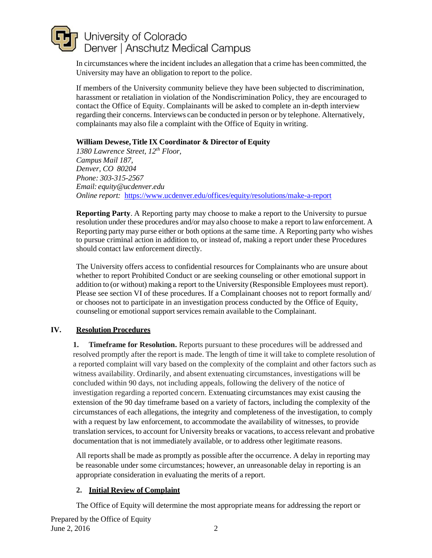In circumstances where the incident includes an allegation that a crime has been committed, the University may have an obligation to report to the police.

If members of the University community believe they have been subjected to discrimination, harassment or retaliation in violation of the Nondiscrimination Policy, they are encouraged to contact the Office of Equity. Complainants will be asked to complete an in-depth interview regarding their concerns. Interviews can be conducted in person or by telephone. Alternatively, complainants may also file a complaint with the Office of Equity in writing.

## **William Dewese,Title IX Coordinator & Director of Equity**

*1380 Lawrence Street, 12th Floor, Campus Mail 187, Denver, CO 80204 Phone: 303-315-2567 Email: [equity@ucdenver.edu](mailto:equity@ucdenver.edu) Online report:* https:/[/www.ucdenver.edu/offices/equity/resolutions/make-a-report](http://www.ucdenver.edu/offices/equity/resolutions/make-a-report)

**Reporting Party**. A Reporting party may choose to make a report to the University to pursue resolution under these procedures and/or may also choose to make a report to lawenforcement. A Reporting party may purse either or both options at the same time. A Reporting party who wishes to pursue criminal action in addition to, or instead of, making a report under these Procedures should contact law enforcement directly.

The University offers access to confidential resources for Complainants who are unsure about whether to report Prohibited Conduct or are seeking counseling or other emotional support in addition to (or without) making a report to the University (Responsible Employees must report). Please see section VI of these procedures. If a Complainant chooses not to report formally and/ or chooses not to participate in an investigation process conducted by the Office of Equity, counseling or emotional support services remain available to the Complainant.

## **IV. Resolution Procedures**

**1. Timeframe for Resolution.** Reports pursuant to these procedures will be addressed and resolved promptly after the report is made. The length of time it will take to complete resolution of a reported complaint will vary based on the complexity of the complaint and other factors such as witness availability. Ordinarily, and absent extenuating circumstances, investigations will be concluded within 90 days, not including appeals, following the delivery of the notice of investigation regarding a reported concern. Extenuating circumstances may exist causing the extension of the 90 day timeframe based on a variety of factors, including the complexity of the circumstances of each allegations, the integrity and completeness of the investigation, to comply with a request by law enforcement, to accommodate the availability of witnesses, to provide translation services, to account for University breaks or vacations, to accessrelevant and probative documentation that is not immediately available, or to address other legitimate reasons.

All reports shall be made as promptly as possible after the occurrence. A delay in reporting may be reasonable under some circumstances; however, an unreasonable delay in reporting is an appropriate consideration in evaluating the merits of a report.

## **2. Initial Review of Complaint**

The Office of Equity will determine the most appropriate means for addressing the report or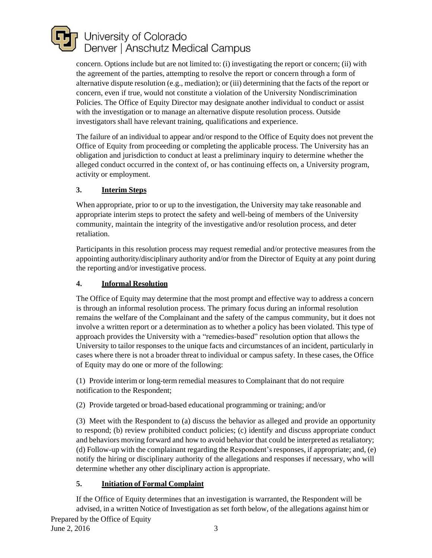concern. Options include but are not limited to: (i) investigating the report or concern; (ii) with the agreement of the parties, attempting to resolve the report or concern through a form of alternative dispute resolution (e.g., mediation); or (iii) determining that the facts of the report or concern, even if true, would not constitute a violation of the University Nondiscrimination Policies. The Office of Equity Director may designate another individual to conduct or assist with the investigation or to manage an alternative dispute resolution process. Outside investigators shall have relevant training, qualifications and experience.

The failure of an individual to appear and/or respond to the Office of Equity does not prevent the Office of Equity from proceeding or completing the applicable process. The University has an obligation and jurisdiction to conduct at least a preliminary inquiry to determine whether the alleged conduct occurred in the context of, or has continuing effects on, a University program, activity or employment.

# **3. Interim Steps**

When appropriate, prior to or up to the investigation, the University may take reasonable and appropriate interim steps to protect the safety and well-being of members of the University community, maintain the integrity of the investigative and/or resolution process, and deter retaliation.

Participants in this resolution process may request remedial and/or protective measures from the appointing authority/disciplinary authority and/or from the Director of Equity at any point during the reporting and/or investigative process.

## **4. Informal Resolution**

The Office of Equity may determine that the most prompt and effective way to address a concern is through an informal resolution process. The primary focus during an informal resolution remains the welfare of the Complainant and the safety of the campus community, but it does not involve a written report or a determination as to whether a policy has been violated. This type of approach provides the University with a "remedies-based" resolution option that allows the University to tailor responses to the unique facts and circumstances of an incident, particularly in cases where there is not a broader threat to individual or campus safety. In these cases, the Office of Equity may do one or more of the following:

(1) Provide interim or long-term remedial measures to Complainant that do not require notification to the Respondent;

(2) Provide targeted or broad-based educational programming or training; and/or

(3) Meet with the Respondent to (a) discuss the behavior as alleged and provide an opportunity to respond; (b) review prohibited conduct policies; (c) identify and discuss appropriate conduct and behaviors moving forward and how to avoid behavior that could be interpreted as retaliatory; (d) Follow-up with the complainant regarding the Respondent'sresponses, if appropriate; and, (e) notify the hiring or disciplinary authority of the allegations and responses if necessary, who will determine whether any other disciplinary action is appropriate.

## **5. Initiation of Formal Complaint**

If the Office of Equity determines that an investigation is warranted, the Respondent will be advised, in a written Notice of Investigation as set forth below, of the allegations against him or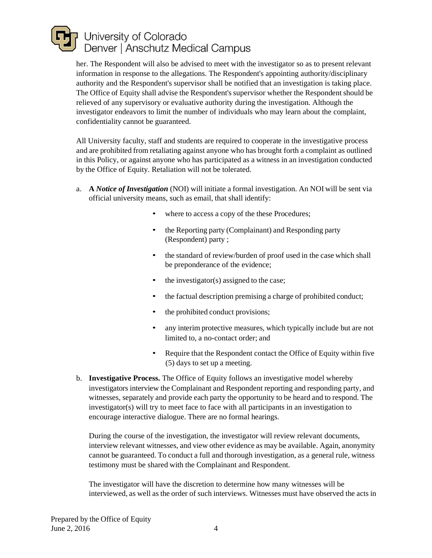

her. The Respondent will also be advised to meet with the investigator so as to present relevant information in response to the allegations. The Respondent's appointing authority/disciplinary authority and the Respondent's supervisor shall be notified that an investigation is taking place. The Office of Equity shall advise the Respondent's supervisor whether the Respondent should be relieved of any supervisory or evaluative authority during the investigation. Although the investigator endeavors to limit the number of individuals who may learn about the complaint, confidentiality cannot be guaranteed.

All University faculty, staff and students are required to cooperate in the investigative process and are prohibited from retaliating against anyone who has brought forth a complaint as outlined in this Policy, or against anyone who has participated as a witness in an investigation conducted by the Office of Equity. Retaliation will not be tolerated.

- a. **A** *Notice of Investigation* (NOI) will initiate a formal investigation. An NOI will be sent via official university means, such as email, that shall identify:
	- where to access a copy of the these Procedures;
	- the Reporting party (Complainant) and Responding party (Respondent) party ;
	- the standard of review/burden of proof used in the case which shall be preponderance of the evidence;
	- the investigator(s) assigned to the case;
	- the factual description premising a charge of prohibited conduct;
	- the prohibited conduct provisions;
	- any interim protective measures, which typically include but are not limited to, a no-contact order; and
	- Require that the Respondent contact the Office of Equity within five (5) days to set up a meeting.
- b. **Investigative Process.** The Office of Equity follows an investigative model whereby investigators interview the Complainant and Respondent reporting and responding party, and witnesses, separately and provide each party the opportunity to be heard and to respond. The investigator(s) will try to meet face to face with all participants in an investigation to encourage interactive dialogue. There are no formal hearings.

During the course of the investigation, the investigator will review relevant documents, interview relevant witnesses, and view other evidence as may be available. Again, anonymity cannot be guaranteed. To conduct a full and thorough investigation, as a general rule, witness testimony must be shared with the Complainant and Respondent.

The investigator will have the discretion to determine how many witnesses will be interviewed, as well as the order of such interviews. Witnesses must have observed the acts in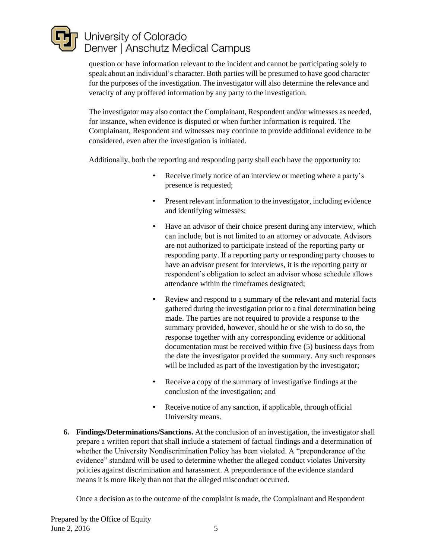question or have information relevant to the incident and cannot be participating solely to speak about an individual's character. Both parties will be presumed to have good character for the purposes of the investigation. The investigator will also determine the relevance and veracity of any proffered information by any party to the investigation.

The investigator may also contact the Complainant, Respondent and/or witnesses as needed, for instance, when evidence is disputed or when further information is required. The Complainant, Respondent and witnesses may continue to provide additional evidence to be considered, even after the investigation is initiated.

Additionally, both the reporting and responding party shall each have the opportunity to:

- Receive timely notice of an interview or meeting where a party's presence is requested;
- Present relevant information to the investigator, including evidence and identifying witnesses;
- Have an advisor of their choice present during any interview, which can include, but is not limited to an attorney or advocate. Advisors are not authorized to participate instead of the reporting party or responding party. If a reporting party or responding party chooses to have an advisor present for interviews, it is the reporting party or respondent's obligation to select an advisor whose schedule allows attendance within the timeframes designated;
- Review and respond to a summary of the relevant and material facts gathered during the investigation prior to a final determination being made. The parties are not required to provide a response to the summary provided, however, should he or she wish to do so, the response together with any corresponding evidence or additional documentation must be received within five (5) business days from the date the investigator provided the summary. Any such responses will be included as part of the investigation by the investigator;
- Receive a copy of the summary of investigative findings at the conclusion of the investigation; and
- Receive notice of any sanction, if applicable, through official University means.
- **6. Findings/Determinations/Sanctions.** At the conclusion of an investigation, the investigator shall prepare a written report that shall include a statement of factual findings and a determination of whether the University Nondiscrimination Policy has been violated. A "preponderance of the evidence" standard will be used to determine whether the alleged conduct violates University policies against discrimination and harassment. A preponderance of the evidence standard means it is more likely than not that the alleged misconduct occurred.

Once a decision as to the outcome of the complaint is made, the Complainant and Respondent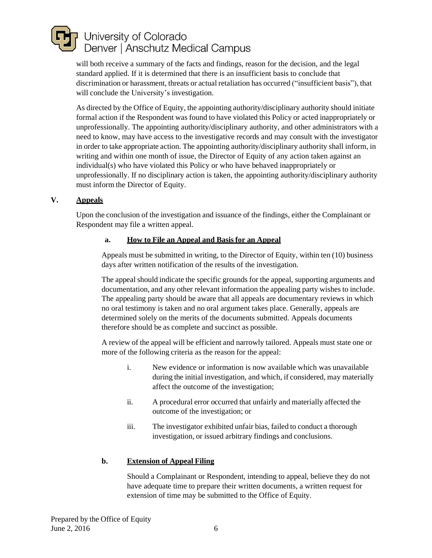will both receive a summary of the facts and findings, reason for the decision, and the legal standard applied. If it is determined that there is an insufficient basis to conclude that discrimination or harassment, threats or actual retaliation has occurred ("insufficient basis"), that will conclude the University's investigation.

As directed by the Office of Equity, the appointing authority/disciplinary authority should initiate formal action if the Respondent was found to have violated this Policy or acted inappropriately or unprofessionally. The appointing authority/disciplinary authority, and other administrators with a need to know, may have access to the investigative records and may consult with the investigator in order to take appropriate action. The appointing authority/disciplinary authority shall inform, in writing and within one month of issue, the Director of Equity of any action taken against an individual(s) who have violated this Policy or who have behaved inappropriately or unprofessionally. If no disciplinary action is taken, the appointing authority/disciplinary authority must inform the Director of Equity.

## **V. Appeals**

Upon the conclusion of the investigation and issuance of the findings, either the Complainant or Respondent may file a written appeal.

## **a. How to File an Appeal and Basis for an Appeal**

Appeals must be submitted in writing, to the Director of Equity, within ten (10) business days after written notification of the results of the investigation.

The appeal should indicate the specific grounds for the appeal, supporting arguments and documentation, and any other relevant information the appealing party wishes to include. The appealing party should be aware that all appeals are documentary reviews in which no oral testimony is taken and no oral argument takes place. Generally, appeals are determined solely on the merits of the documents submitted. Appeals documents therefore should be as complete and succinct as possible.

A review of the appeal will be efficient and narrowly tailored. Appeals must state one or more of the following criteria as the reason for the appeal:

- i. New evidence or information is now available which was unavailable during the initial investigation, and which, if considered, may materially affect the outcome of the investigation;
- ii. A procedural error occurred that unfairly and materially affected the outcome of the investigation; or
- iii. The investigator exhibited unfair bias, failed to conduct a thorough investigation, or issued arbitrary findings and conclusions.

## **b. Extension of Appeal Filing**

Should a Complainant or Respondent, intending to appeal, believe they do not have adequate time to prepare their written documents, a written request for extension of time may be submitted to the Office of Equity.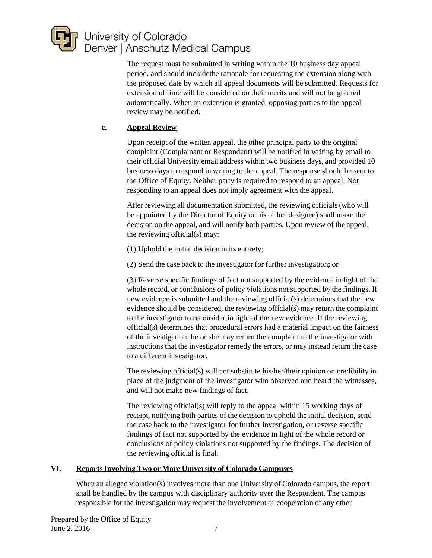

The request must be submitted in writing within the 10 business day appeal period, and should includethe rationale for requesting the extension along with the proposed date by which all appeal documents will be submitted. Requests for extension of time will be considered on their merits and will not be granted automatically. When an extension is granted, opposing parties to the appeal review may be notified.

## **c. Appeal Review**

Upon receipt of the written appeal, the other principal party to the original complaint (Complainant or Respondent) will be notified in writing by email to their official University email address within two business days, and provided 10 business days to respond in writing to the appeal. The response should be sent to the Office of Equity. Neither party is required to respond to an appeal. Not responding to an appeal does not imply agreement with the appeal.

After reviewing all documentation submitted, the reviewing officials (who will be appointed by the Director of Equity or his or her designee) shall make the decision on the appeal, and will notify both parties. Upon review of the appeal, the reviewing official(s) may:

- (1) Uphold the initial decision in its entirety;
- (2) Send the case back to the investigator for further investigation; or

(3) Reverse specific findings of fact not supported by the evidence in light of the whole record, or conclusions of policy violations not supported by the findings. If new evidence is submitted and the reviewing official(s) determines that the new evidence should be considered, the reviewing official(s) may return the complaint to the investigator to reconsider in light of the new evidence. If the reviewing official(s) determines that procedural errors had a material impact on the fairness of the investigation, he or she may return the complaint to the investigator with instructions that the investigator remedy the errors, or may instead return the case to a different investigator.

The reviewing official(s) will not substitute his/her/their opinion on credibility in place of the judgment of the investigator who observed and heard the witnesses, and will not make new findings of fact.

The reviewing official(s) will reply to the appeal within 15 working days of receipt, notifying both parties of the decision to uphold the initial decision, send the case back to the investigator for further investigation, or reverse specific findings of fact not supported by the evidence in light of the whole record or conclusions of policy violations not supported by the findings. The decision of the reviewing official is final.

## **VI. ReportsInvolving Two or More University of Colorado Campuses**

When an alleged violation(s) involves more than one University of Colorado campus, the report shall be handled by the campus with disciplinary authority over the Respondent. The campus responsible for the investigation may request the involvement or cooperation of any other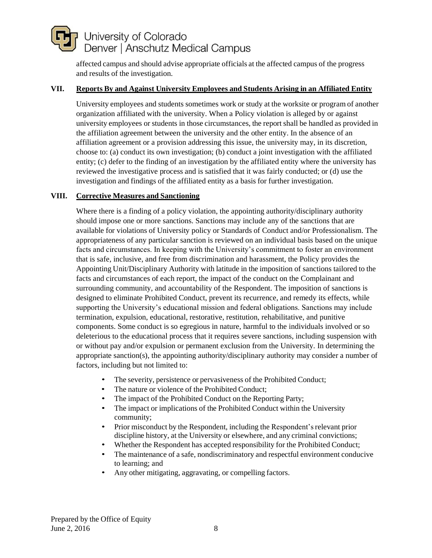affected campus and should advise appropriate officials at the affected campus of the progress and results of the investigation.

#### **VII. Reports By and Against University Employees and Students Arising in an Affiliated Entity**

University employees and students sometimes work or study at the worksite or program of another organization affiliated with the university. When a Policy violation is alleged by or against university employees or students in those circumstances, the report shall be handled as provided in the affiliation agreement between the university and the other entity. In the absence of an affiliation agreement or a provision addressing this issue, the university may, in its discretion, choose to: (a) conduct its own investigation; (b) conduct a joint investigation with the affiliated entity; (c) defer to the finding of an investigation by the affiliated entity where the university has reviewed the investigative process and is satisfied that it was fairly conducted; or (d) use the investigation and findings of the affiliated entity as a basis for further investigation.

#### **VIII. Corrective Measures and Sanctioning**

Where there is a finding of a policy violation, the appointing authority/disciplinary authority should impose one or more sanctions. Sanctions may include any of the sanctions that are available for violations of University policy or Standards of Conduct and/or Professionalism. The appropriateness of any particular sanction is reviewed on an individual basis based on the unique facts and circumstances. In keeping with the University's commitment to foster an environment that is safe, inclusive, and free from discrimination and harassment, the Policy provides the Appointing Unit/Disciplinary Authority with latitude in the imposition of sanctions tailored to the facts and circumstances of each report, the impact of the conduct on the Complainant and surrounding community, and accountability of the Respondent. The imposition of sanctions is designed to eliminate Prohibited Conduct, prevent its recurrence, and remedy its effects, while supporting the University's educational mission and federal obligations. Sanctions may include termination, expulsion, educational, restorative, restitution, rehabilitative, and punitive components. Some conduct is so egregious in nature, harmful to the individuals involved or so deleterious to the educational process that it requires severe sanctions, including suspension with or without pay and/or expulsion or permanent exclusion from the University. In determining the appropriate sanction(s), the appointing authority/disciplinary authority may consider a number of factors, including but not limited to:

- The severity, persistence or pervasiveness of the Prohibited Conduct;
- The nature or violence of the Prohibited Conduct;
- The impact of the Prohibited Conduct on the Reporting Party;
- The impact or implications of the Prohibited Conduct within the University community;
- Prior misconduct by the Respondent, including the Respondent's relevant prior discipline history, at the University or elsewhere, and any criminal convictions;
- Whether the Respondent has accepted responsibility for the Prohibited Conduct;
- The maintenance of a safe, nondiscriminatory and respectful environment conducive to learning; and
- Any other mitigating, aggravating, or compelling factors.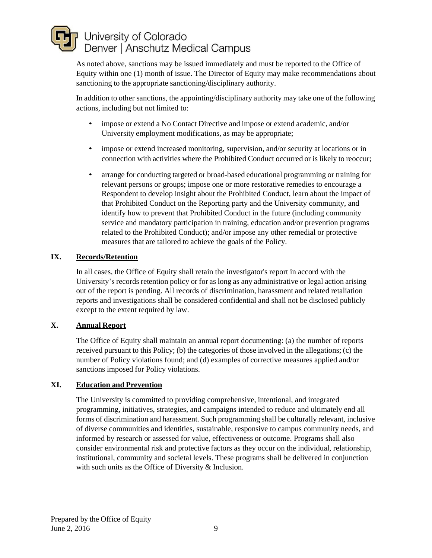As noted above, sanctions may be issued immediately and must be reported to the Office of Equity within one (1) month of issue. The Director of Equity may make recommendations about sanctioning to the appropriate sanctioning/disciplinary authority.

In addition to other sanctions, the appointing/disciplinary authority may take one of the following actions, including but not limited to:

- impose or extend a No Contact Directive and impose or extend academic, and/or University employment modifications, as may be appropriate;
- impose or extend increased monitoring, supervision, and/or security at locations or in connection with activities where the Prohibited Conduct occurred or is likely to reoccur;
- arrange for conducting targeted or broad-based educational programming or training for relevant persons or groups; impose one or more restorative remedies to encourage a Respondent to develop insight about the Prohibited Conduct, learn about the impact of that Prohibited Conduct on the Reporting party and the University community, and identify how to prevent that Prohibited Conduct in the future (including community service and mandatory participation in training, education and/or prevention programs related to the Prohibited Conduct); and/or impose any other remedial or protective measures that are tailored to achieve the goals of the Policy.

## **IX. Records/Retention**

In all cases, the Office of Equity shall retain the investigator's report in accord with the University's records retention policy or for as long as any administrative or legal action arising out of the report is pending. All records of discrimination, harassment and related retaliation reports and investigations shall be considered confidential and shall not be disclosed publicly except to the extent required by law.

## **X. Annual Report**

The Office of Equity shall maintain an annual report documenting: (a) the number of reports received pursuant to this Policy; (b) the categories of those involved in the allegations; (c) the number of Policy violations found; and (d) examples of corrective measures applied and/or sanctions imposed for Policy violations.

#### **XI. Education and Prevention**

The University is committed to providing comprehensive, intentional, and integrated programming, initiatives, strategies, and campaigns intended to reduce and ultimately end all forms of discrimination and harassment. Such programming shall be culturally relevant, inclusive of diverse communities and identities, sustainable, responsive to campus community needs, and informed by research or assessed for value, effectiveness or outcome. Programs shall also consider environmental risk and protective factors as they occur on the individual, relationship, institutional, community and societal levels. These programs shall be delivered in conjunction with such units as the Office of Diversity & Inclusion.